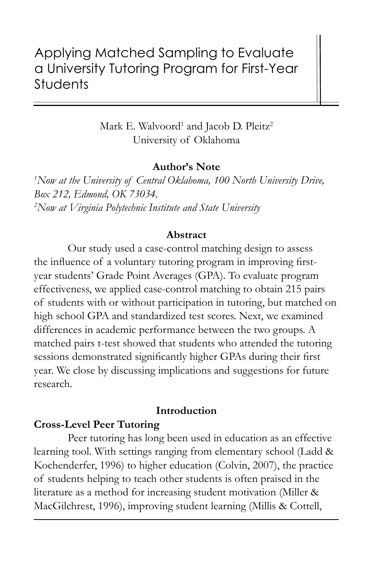# Applying Matched Sampling to Evaluate a University Tutoring Program for First-Year **Students**

Mark E. Walvoord<sup>1</sup> and Jacob D. Pleitz<sup>2</sup> University of Oklahoma

## **Author's Note**

*1 Now at the University of Central Oklahoma, 100 North University Drive, Box 212, Edmond, OK 73034. 2 Now at Virginia Polytechnic Institute and State University*

#### **Abstract**

Our study used a case-control matching design to assess the influence of a voluntary tutoring program in improving firstyear students' Grade Point Averages (GPA). To evaluate program effectiveness, we applied case-control matching to obtain 215 pairs of students with or without participation in tutoring, but matched on high school GPA and standardized test scores. Next, we examined differences in academic performance between the two groups. A matched pairs t-test showed that students who attended the tutoring sessions demonstrated significantly higher GPAs during their first year. We close by discussing implications and suggestions for future research.

## **Introduction**

## **Cross-Level Peer Tutoring**

Peer tutoring has long been used in education as an effective learning tool. With settings ranging from elementary school (Ladd & Kochenderfer, 1996) to higher education (Colvin, 2007), the practice of students helping to teach other students is often praised in the literature as a method for increasing student motivation (Miller & MacGilchrest, 1996), improving student learning (Millis & Cottell,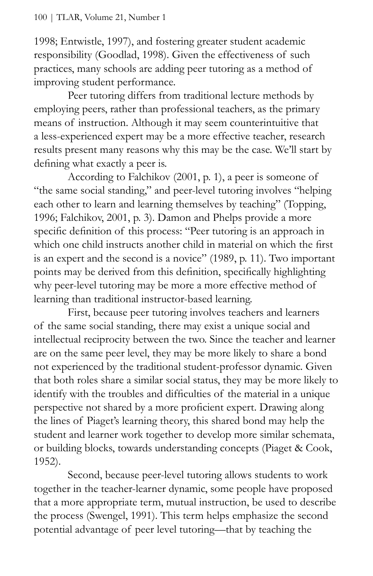1998; Entwistle, 1997), and fostering greater student academic responsibility (Goodlad, 1998). Given the effectiveness of such practices, many schools are adding peer tutoring as a method of improving student performance.

Peer tutoring differs from traditional lecture methods by employing peers, rather than professional teachers, as the primary means of instruction. Although it may seem counterintuitive that a less-experienced expert may be a more effective teacher, research results present many reasons why this may be the case. We'll start by defining what exactly a peer is.

According to Falchikov (2001, p. 1), a peer is someone of "the same social standing," and peer-level tutoring involves "helping each other to learn and learning themselves by teaching" (Topping, 1996; Falchikov, 2001, p. 3). Damon and Phelps provide a more specific definition of this process: "Peer tutoring is an approach in which one child instructs another child in material on which the first is an expert and the second is a novice" (1989, p. 11). Two important points may be derived from this definition, specifically highlighting why peer-level tutoring may be more a more effective method of learning than traditional instructor-based learning.

First, because peer tutoring involves teachers and learners of the same social standing, there may exist a unique social and intellectual reciprocity between the two. Since the teacher and learner are on the same peer level, they may be more likely to share a bond not experienced by the traditional student-professor dynamic. Given that both roles share a similar social status, they may be more likely to identify with the troubles and difficulties of the material in a unique perspective not shared by a more proficient expert. Drawing along the lines of Piaget's learning theory, this shared bond may help the student and learner work together to develop more similar schemata, or building blocks, towards understanding concepts (Piaget & Cook, 1952).

Second, because peer-level tutoring allows students to work together in the teacher-learner dynamic, some people have proposed that a more appropriate term, mutual instruction, be used to describe the process (Swengel, 1991). This term helps emphasize the second potential advantage of peer level tutoring—that by teaching the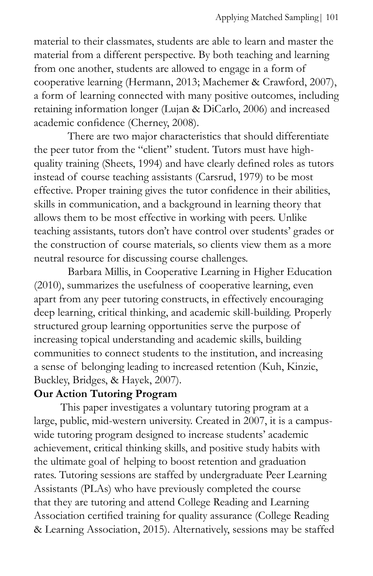material to their classmates, students are able to learn and master the material from a different perspective. By both teaching and learning from one another, students are allowed to engage in a form of cooperative learning (Hermann, 2013; Machemer & Crawford, 2007), a form of learning connected with many positive outcomes, including retaining information longer (Lujan & DiCarlo, 2006) and increased academic confidence (Cherney, 2008).

There are two major characteristics that should differentiate the peer tutor from the "client" student. Tutors must have highquality training (Sheets, 1994) and have clearly defined roles as tutors instead of course teaching assistants (Carsrud, 1979) to be most effective. Proper training gives the tutor confidence in their abilities, skills in communication, and a background in learning theory that allows them to be most effective in working with peers. Unlike teaching assistants, tutors don't have control over students' grades or the construction of course materials, so clients view them as a more neutral resource for discussing course challenges.

Barbara Millis, in Cooperative Learning in Higher Education (2010), summarizes the usefulness of cooperative learning, even apart from any peer tutoring constructs, in effectively encouraging deep learning, critical thinking, and academic skill-building. Properly structured group learning opportunities serve the purpose of increasing topical understanding and academic skills, building communities to connect students to the institution, and increasing a sense of belonging leading to increased retention (Kuh, Kinzie, Buckley, Bridges, & Hayek, 2007).

# **Our Action Tutoring Program**

This paper investigates a voluntary tutoring program at a large, public, mid-western university. Created in 2007, it is a campuswide tutoring program designed to increase students' academic achievement, critical thinking skills, and positive study habits with the ultimate goal of helping to boost retention and graduation rates. Tutoring sessions are staffed by undergraduate Peer Learning Assistants (PLAs) who have previously completed the course that they are tutoring and attend College Reading and Learning Association certified training for quality assurance (College Reading & Learning Association, 2015). Alternatively, sessions may be staffed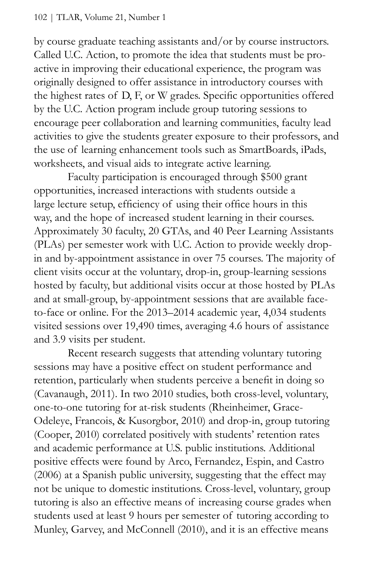by course graduate teaching assistants and/or by course instructors. Called U.C. Action, to promote the idea that students must be proactive in improving their educational experience, the program was originally designed to offer assistance in introductory courses with the highest rates of D, F, or W grades. Specific opportunities offered by the U.C. Action program include group tutoring sessions to encourage peer collaboration and learning communities, faculty lead activities to give the students greater exposure to their professors, and the use of learning enhancement tools such as SmartBoards, iPads, worksheets, and visual aids to integrate active learning.

Faculty participation is encouraged through \$500 grant opportunities, increased interactions with students outside a large lecture setup, efficiency of using their office hours in this way, and the hope of increased student learning in their courses. Approximately 30 faculty, 20 GTAs, and 40 Peer Learning Assistants (PLAs) per semester work with U.C. Action to provide weekly dropin and by-appointment assistance in over 75 courses. The majority of client visits occur at the voluntary, drop-in, group-learning sessions hosted by faculty, but additional visits occur at those hosted by PLAs and at small-group, by-appointment sessions that are available faceto-face or online. For the 2013–2014 academic year, 4,034 students visited sessions over 19,490 times, averaging 4.6 hours of assistance and 3.9 visits per student.

Recent research suggests that attending voluntary tutoring sessions may have a positive effect on student performance and retention, particularly when students perceive a benefit in doing so (Cavanaugh, 2011). In two 2010 studies, both cross-level, voluntary, one-to-one tutoring for at-risk students (Rheinheimer, Grace-Odeleye, Francois, & Kusorgbor, 2010) and drop-in, group tutoring (Cooper, 2010) correlated positively with students' retention rates and academic performance at U.S. public institutions. Additional positive effects were found by Arco, Fernandez, Espin, and Castro (2006) at a Spanish public university, suggesting that the effect may not be unique to domestic institutions. Cross-level, voluntary, group tutoring is also an effective means of increasing course grades when students used at least 9 hours per semester of tutoring according to Munley, Garvey, and McConnell (2010), and it is an effective means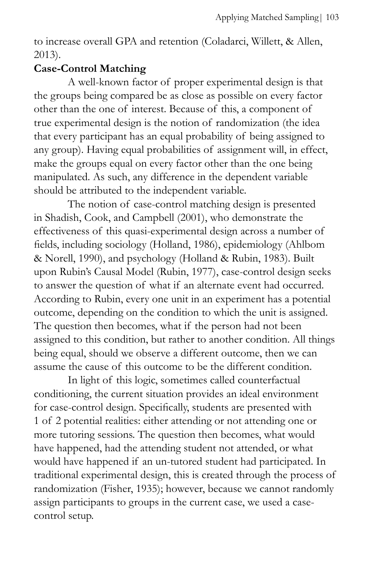to increase overall GPA and retention (Coladarci, Willett, & Allen, 2013).

# **Case-Control Matching**

A well-known factor of proper experimental design is that the groups being compared be as close as possible on every factor other than the one of interest. Because of this, a component of true experimental design is the notion of randomization (the idea that every participant has an equal probability of being assigned to any group). Having equal probabilities of assignment will, in effect, make the groups equal on every factor other than the one being manipulated. As such, any difference in the dependent variable should be attributed to the independent variable.

The notion of case-control matching design is presented in Shadish, Cook, and Campbell (2001), who demonstrate the effectiveness of this quasi-experimental design across a number of fields, including sociology (Holland, 1986), epidemiology (Ahlbom & Norell, 1990), and psychology (Holland & Rubin, 1983). Built upon Rubin's Causal Model (Rubin, 1977), case-control design seeks to answer the question of what if an alternate event had occurred. According to Rubin, every one unit in an experiment has a potential outcome, depending on the condition to which the unit is assigned. The question then becomes, what if the person had not been assigned to this condition, but rather to another condition. All things being equal, should we observe a different outcome, then we can assume the cause of this outcome to be the different condition.

In light of this logic, sometimes called counterfactual conditioning, the current situation provides an ideal environment for case-control design. Specifically, students are presented with 1 of 2 potential realities: either attending or not attending one or more tutoring sessions. The question then becomes, what would have happened, had the attending student not attended, or what would have happened if an un-tutored student had participated. In traditional experimental design, this is created through the process of randomization (Fisher, 1935); however, because we cannot randomly assign participants to groups in the current case, we used a casecontrol setup.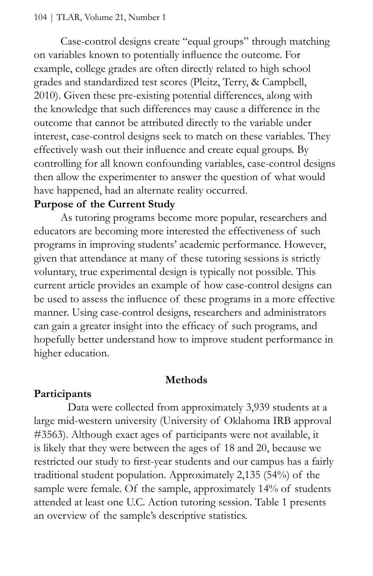Case-control designs create "equal groups" through matching on variables known to potentially influence the outcome. For example, college grades are often directly related to high school grades and standardized test scores (Pleitz, Terry, & Campbell, 2010). Given these pre-existing potential differences, along with the knowledge that such differences may cause a difference in the outcome that cannot be attributed directly to the variable under interest, case-control designs seek to match on these variables. They effectively wash out their influence and create equal groups. By controlling for all known confounding variables, case-control designs then allow the experimenter to answer the question of what would have happened, had an alternate reality occurred.

# **Purpose of the Current Study**

As tutoring programs become more popular, researchers and educators are becoming more interested the effectiveness of such programs in improving students' academic performance. However, given that attendance at many of these tutoring sessions is strictly voluntary, true experimental design is typically not possible. This current article provides an example of how case-control designs can be used to assess the influence of these programs in a more effective manner. Using case-control designs, researchers and administrators can gain a greater insight into the efficacy of such programs, and hopefully better understand how to improve student performance in higher education.

## **Methods**

# **Participants**

Data were collected from approximately 3,939 students at a large mid-western university (University of Oklahoma IRB approval #3563). Although exact ages of participants were not available, it is likely that they were between the ages of 18 and 20, because we restricted our study to first-year students and our campus has a fairly traditional student population. Approximately 2,135 (54%) of the sample were female. Of the sample, approximately 14% of students attended at least one U.C. Action tutoring session. Table 1 presents an overview of the sample's descriptive statistics.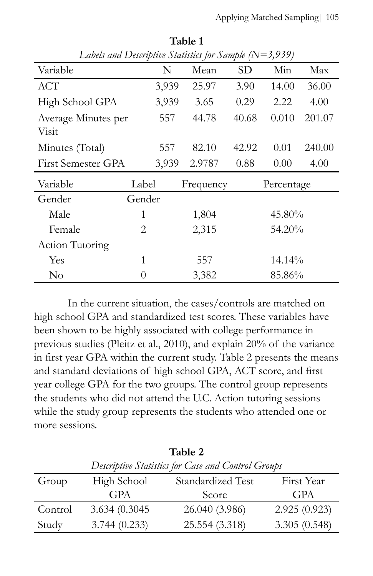| Labels and Descriptive Statistics for Sample $(N=3,939)$ |        |       |           |       |            |        |  |  |
|----------------------------------------------------------|--------|-------|-----------|-------|------------|--------|--|--|
| Variable                                                 |        | N     | Mean      | SD    | Min        | Max    |  |  |
| ACT                                                      |        | 3,939 | 25.97     | 3.90  | 14.00      | 36.00  |  |  |
| High School GPA                                          |        | 3,939 | 3.65      | 0.29  | 2.22       | 4.00   |  |  |
| Average Minutes per                                      |        | 557   | 44.78     | 40.68 | 0.010      | 201.07 |  |  |
| <b>Visit</b>                                             |        |       |           |       |            |        |  |  |
| Minutes (Total)                                          |        | 557   | 82.10     | 42.92 | 0.01       | 240.00 |  |  |
| First Semester GPA                                       |        | 3,939 | 2.9787    | 0.88  | 0.00       | 4.00   |  |  |
| Variable                                                 | Label  |       | Frequency |       | Percentage |        |  |  |
| Gender                                                   | Gender |       |           |       |            |        |  |  |
| Male                                                     | 1      |       | 1,804     |       | 45.80%     |        |  |  |
| Female                                                   | 2      |       | 2,315     |       | 54.20%     |        |  |  |
| Action Tutoring                                          |        |       |           |       |            |        |  |  |
| Yes                                                      | 1      | 557   |           |       | 14.14%     |        |  |  |
| No                                                       | 0      |       | 3,382     |       | 85.86%     |        |  |  |

**Table 1** 

In the current situation, the cases/controls are matched on high school GPA and standardized test scores. These variables have been shown to be highly associated with college performance in previous studies (Pleitz et al., 2010), and explain 20% of the variance in first year GPA within the current study. Table 2 presents the means and standard deviations of high school GPA, ACT score, and first year college GPA for the two groups. The control group represents the students who did not attend the U.C. Action tutoring sessions while the study group represents the students who attended one or more sessions.

| Table 2                                            |                |                   |              |  |  |  |  |  |
|----------------------------------------------------|----------------|-------------------|--------------|--|--|--|--|--|
| Descriptive Statistics for Case and Control Groups |                |                   |              |  |  |  |  |  |
| Group                                              | High School    | Standardized Test | First Year   |  |  |  |  |  |
|                                                    | <b>GPA</b>     | Score             | <b>GPA</b>   |  |  |  |  |  |
| Control                                            | 3.634 (0.3045) | 26.040 (3.986)    | 2.925(0.923) |  |  |  |  |  |
| Study                                              | 3.744(0.233)   | 25.554 (3.318)    | 3.305(0.548) |  |  |  |  |  |

 $T - 1 - 2$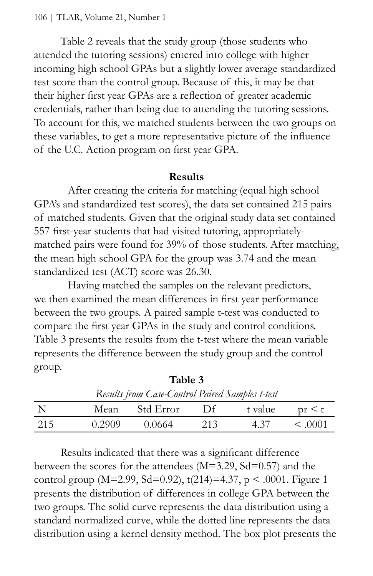Table 2 reveals that the study group (those students who attended the tutoring sessions) entered into college with higher incoming high school GPAs but a slightly lower average standardized test score than the control group. Because of this, it may be that their higher first year GPAs are a reflection of greater academic credentials, rather than being due to attending the tutoring sessions. To account for this, we matched students between the two groups on these variables, to get a more representative picture of the influence of the U.C. Action program on first year GPA.

#### **Results**

After creating the criteria for matching (equal high school GPA's and standardized test scores), the data set contained 215 pairs of matched students. Given that the original study data set contained 557 first-year students that had visited tutoring, appropriatelymatched pairs were found for 39% of those students. After matching, the mean high school GPA for the group was 3.74 and the mean standardized test (ACT) score was 26.30.

Having matched the samples on the relevant predictors, we then examined the mean differences in first year performance between the two groups. A paired sample t-test was conducted to compare the first year GPAs in the study and control conditions. Table 3 presents the results from the t-test where the mean variable represents the difference between the study group and the control group.

| Tavit J<br>Results from Case-Control Paired Samples t-test |        |             |     |         |                |  |  |  |
|------------------------------------------------------------|--------|-------------|-----|---------|----------------|--|--|--|
|                                                            | Mean   | – Std Error | Df. | t value | pr < t         |  |  |  |
| -215                                                       | 0.2909 | 0.0664      | 213 | 4.37    | $\leq$ (0.001) |  |  |  |

**Table 3**

Results indicated that there was a significant difference between the scores for the attendees (M=3.29, Sd=0.57) and the control group (M=2.99, Sd=0.92), t(214)=4.37, p < .0001. Figure 1 presents the distribution of differences in college GPA between the two groups. The solid curve represents the data distribution using a standard normalized curve, while the dotted line represents the data distribution using a kernel density method. The box plot presents the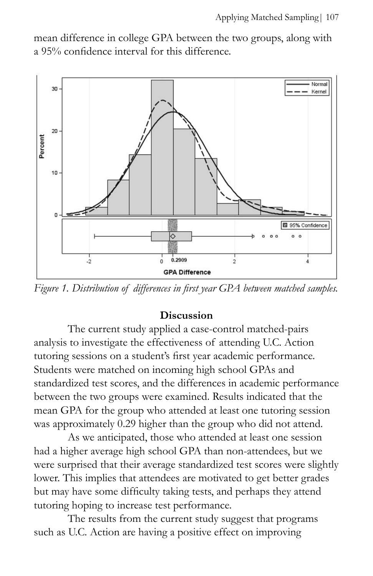mean difference in college GPA between the two groups, along with a 95% confidence interval for this difference.



*Figure 1. Distribution of differences in first year GPA between matched samples.*

## **Discussion**

The current study applied a case-control matched-pairs analysis to investigate the effectiveness of attending U.C. Action tutoring sessions on a student's first year academic performance. Students were matched on incoming high school GPAs and standardized test scores, and the differences in academic performance between the two groups were examined. Results indicated that the mean GPA for the group who attended at least one tutoring session was approximately 0.29 higher than the group who did not attend.

As we anticipated, those who attended at least one session had a higher average high school GPA than non-attendees, but we were surprised that their average standardized test scores were slightly lower. This implies that attendees are motivated to get better grades but may have some difficulty taking tests, and perhaps they attend tutoring hoping to increase test performance.

The results from the current study suggest that programs such as U.C. Action are having a positive effect on improving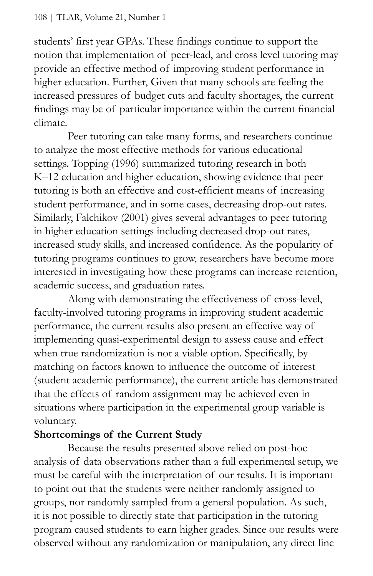students' first year GPAs. These findings continue to support the notion that implementation of peer-lead, and cross level tutoring may provide an effective method of improving student performance in higher education. Further, Given that many schools are feeling the increased pressures of budget cuts and faculty shortages, the current findings may be of particular importance within the current financial climate.

Peer tutoring can take many forms, and researchers continue to analyze the most effective methods for various educational settings. Topping (1996) summarized tutoring research in both K–12 education and higher education, showing evidence that peer tutoring is both an effective and cost-efficient means of increasing student performance, and in some cases, decreasing drop-out rates. Similarly, Falchikov (2001) gives several advantages to peer tutoring in higher education settings including decreased drop-out rates, increased study skills, and increased confidence. As the popularity of tutoring programs continues to grow, researchers have become more interested in investigating how these programs can increase retention, academic success, and graduation rates.

Along with demonstrating the effectiveness of cross-level, faculty-involved tutoring programs in improving student academic performance, the current results also present an effective way of implementing quasi-experimental design to assess cause and effect when true randomization is not a viable option. Specifically, by matching on factors known to influence the outcome of interest (student academic performance), the current article has demonstrated that the effects of random assignment may be achieved even in situations where participation in the experimental group variable is voluntary.

# **Shortcomings of the Current Study**

Because the results presented above relied on post-hoc analysis of data observations rather than a full experimental setup, we must be careful with the interpretation of our results. It is important to point out that the students were neither randomly assigned to groups, nor randomly sampled from a general population. As such, it is not possible to directly state that participation in the tutoring program caused students to earn higher grades. Since our results were observed without any randomization or manipulation, any direct line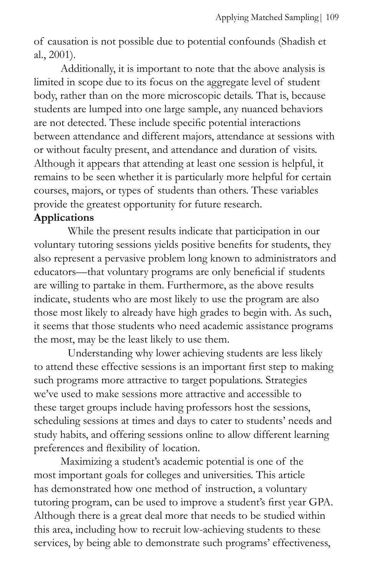of causation is not possible due to potential confounds (Shadish et al., 2001).

Additionally, it is important to note that the above analysis is limited in scope due to its focus on the aggregate level of student body, rather than on the more microscopic details. That is, because students are lumped into one large sample, any nuanced behaviors are not detected. These include specific potential interactions between attendance and different majors, attendance at sessions with or without faculty present, and attendance and duration of visits. Although it appears that attending at least one session is helpful, it remains to be seen whether it is particularly more helpful for certain courses, majors, or types of students than others. These variables provide the greatest opportunity for future research.

# **Applications**

While the present results indicate that participation in our voluntary tutoring sessions yields positive benefits for students, they also represent a pervasive problem long known to administrators and educators—that voluntary programs are only beneficial if students are willing to partake in them. Furthermore, as the above results indicate, students who are most likely to use the program are also those most likely to already have high grades to begin with. As such, it seems that those students who need academic assistance programs the most, may be the least likely to use them.

Understanding why lower achieving students are less likely to attend these effective sessions is an important first step to making such programs more attractive to target populations. Strategies we've used to make sessions more attractive and accessible to these target groups include having professors host the sessions, scheduling sessions at times and days to cater to students' needs and study habits, and offering sessions online to allow different learning preferences and flexibility of location.

Maximizing a student's academic potential is one of the most important goals for colleges and universities. This article has demonstrated how one method of instruction, a voluntary tutoring program, can be used to improve a student's first year GPA. Although there is a great deal more that needs to be studied within this area, including how to recruit low-achieving students to these services, by being able to demonstrate such programs' effectiveness,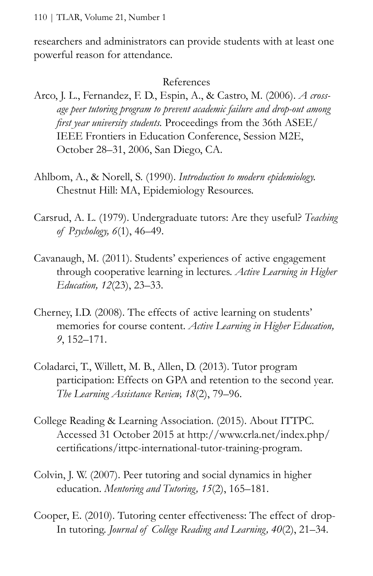researchers and administrators can provide students with at least one powerful reason for attendance.

### References

- Arco, J. L., Fernandez, F. D., Espin, A., & Castro, M. (2006). *A crossage peer tutoring program to prevent academic failure and drop-out among first year university students.* Proceedings from the 36th ASEE/ IEEE Frontiers in Education Conference, Session M2E, October 28–31, 2006, San Diego, CA.
- Ahlbom, A., & Norell, S. (1990). *Introduction to modern epidemiology.* Chestnut Hill: MA, Epidemiology Resources.
- Carsrud, A. L. (1979). Undergraduate tutors: Are they useful? *Teaching of Psychology, 6*(1), 46–49.
- Cavanaugh, M. (2011). Students' experiences of active engagement through cooperative learning in lectures. *Active Learning in Higher Education, 12*(23), 23–33.
- Cherney, I.D. (2008). The effects of active learning on students' memories for course content. *Active Learning in Higher Education, 9*, 152–171.
- Coladarci, T., Willett, M. B., Allen, D. (2013). Tutor program participation: Effects on GPA and retention to the second year. *The Learning Assistance Review, 18*(2), 79–96.
- College Reading & Learning Association. (2015). About ITTPC. Accessed 31 October 2015 at http://www.crla.net/index.php/ certifications/ittpc-international-tutor-training-program.
- Colvin, J. W. (2007). Peer tutoring and social dynamics in higher education. *Mentoring and Tutoring, 15*(2), 165–181.
- Cooper, E. (2010). Tutoring center effectiveness: The effect of drop-In tutoring. *Journal of College Reading and Learning, 40*(2), 21–34.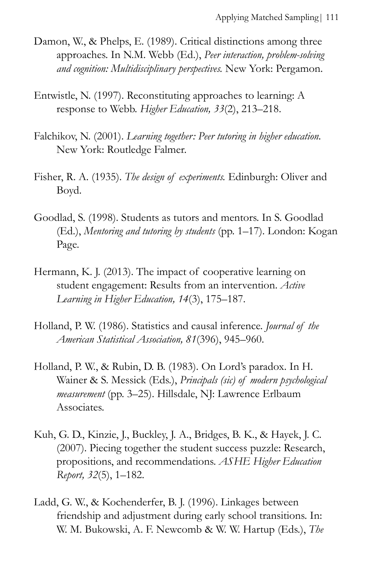- Damon, W., & Phelps, E. (1989). Critical distinctions among three approaches. In N.M. Webb (Ed.), *Peer interaction, problem-solving and cognition: Multidisciplinary perspectives.* New York: Pergamon.
- Entwistle, N. (1997). Reconstituting approaches to learning: A response to Webb. *Higher Education, 33*(2), 213–218.
- Falchikov, N. (2001). *Learning together: Peer tutoring in higher education.* New York: Routledge Falmer.
- Fisher, R. A. (1935). *The design of experiments.* Edinburgh: Oliver and Boyd.
- Goodlad, S. (1998). Students as tutors and mentors. In S. Goodlad (Ed.), *Mentoring and tutoring by students* (pp. 1–17). London: Kogan Page.
- Hermann, K. J. (2013). The impact of cooperative learning on student engagement: Results from an intervention. *Active Learning in Higher Education, 14*(3), 175–187.
- Holland, P. W. (1986). Statistics and causal inference. *Journal of the American Statistical Association, 81*(396), 945–960.
- Holland, P. W., & Rubin, D. B. (1983). On Lord's paradox. In H. Wainer & S. Messick (Eds.), *Principals (sic) of modern psychological measurement* (pp. 3–25). Hillsdale, NJ: Lawrence Erlbaum Associates.
- Kuh, G. D., Kinzie, J., Buckley, J. A., Bridges, B. K., & Hayek, J. C. (2007). Piecing together the student success puzzle: Research, propositions, and recommendations. *ASHE Higher Education Report, 32*(5), 1–182.
- Ladd, G. W., & Kochenderfer, B. J. (1996). Linkages between friendship and adjustment during early school transitions. In: W. M. Bukowski, A. F. Newcomb & W. W. Hartup (Eds.), *The*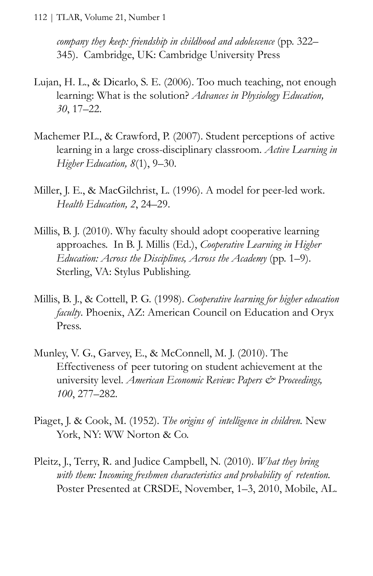112 | TLAR, Volume 21, Number 1

*company they keep: friendship in childhood and adolescence* (pp. 322– 345). Cambridge, UK: Cambridge University Press

- Lujan, H. L., & Dicarlo, S. E. (2006). Too much teaching, not enough learning: What is the solution? *Advances in Physiology Education, 30*, 17–22.
- Machemer P.L., & Crawford, P. (2007). Student perceptions of active learning in a large cross-disciplinary classroom. *Active Learning in Higher Education, 8*(1), 9–30.
- Miller, J. E., & MacGilchrist, L. (1996). A model for peer-led work. *Health Education, 2*, 24–29.
- Millis, B. J. (2010). Why faculty should adopt cooperative learning approaches. In B. J. Millis (Ed.), *Cooperative Learning in Higher Education: Across the Disciplines, Across the Academy* (pp. 1–9). Sterling, VA: Stylus Publishing.
- Millis, B. J., & Cottell, P. G. (1998). *Cooperative learning for higher education faculty*. Phoenix, AZ: American Council on Education and Oryx Press.
- Munley, V. G., Garvey, E., & McConnell, M. J. (2010). The Effectiveness of peer tutoring on student achievement at the university level. *American Economic Review: Papers & Proceedings, 100*, 277–282.
- Piaget, J. & Cook, M. (1952). *The origins of intelligence in children.* New York, NY: WW Norton & Co.
- Pleitz, J., Terry, R. and Judice Campbell, N. (2010). *What they bring with them: Incoming freshmen characteristics and probability of retention.* Poster Presented at CRSDE, November, 1–3, 2010, Mobile, AL.